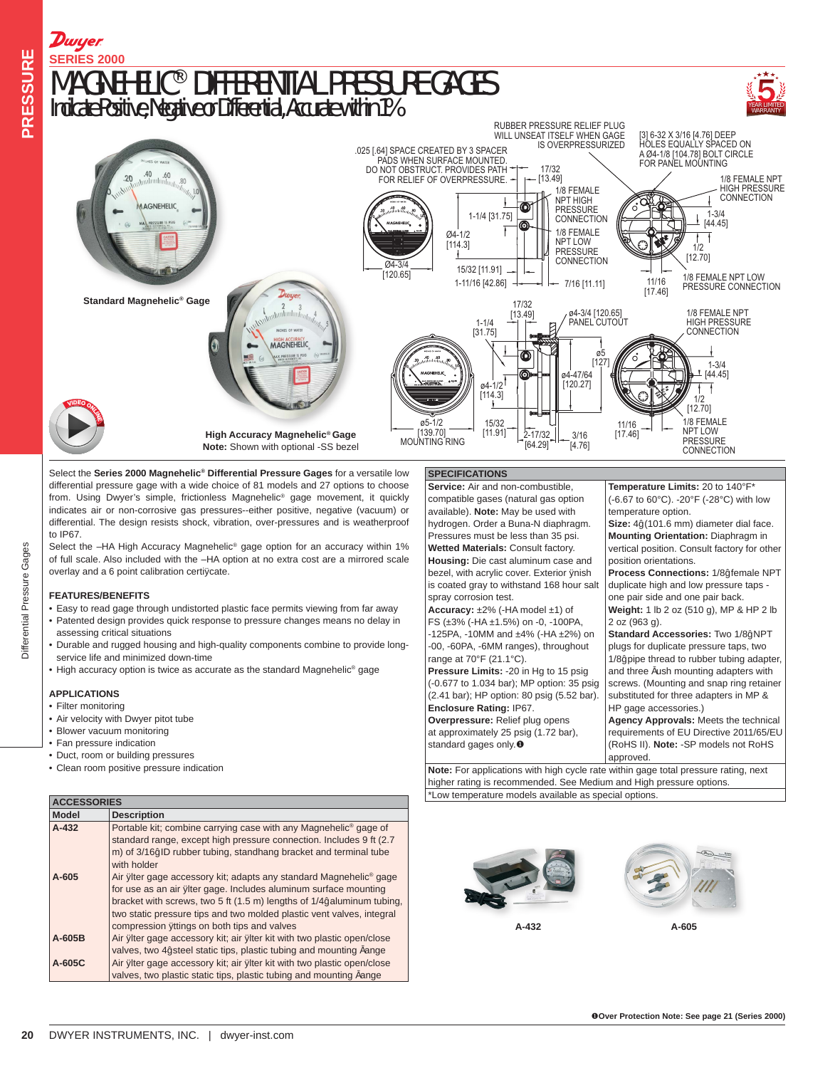

Select the **Series 2000 Magnehelic® Differential Pressure Gages** for a versatile low differential pressure gage with a wide choice of 81 models and 27 options to choose from. Using Dwyer's simple, frictionless Magnehelic® gage movement, it quickly indicates air or non-corrosive gas pressures--either positive, negative (vacuum) or differential. The design resists shock, vibration, over-pressures and is weatherproof to IP67.

Select the -HA High Accuracy Magnehelic<sup>®</sup> gage option for an accuracy within 1% of full scale. Also included with the –HA option at no extra cost are a mirrored scale overlay and a 6 point calibration certifcate.

## **FEATURES/BENEFITS**

Differential Pressure Gages

- Easy to read gage through undistorted plastic face permits viewing from far away • Patented design provides quick response to pressure changes means no delay in assessing critical situations
- Durable and rugged housing and high-quality components combine to provide longservice life and minimized down-time
- High accuracy option is twice as accurate as the standard Magnehelic® gage

### **APPLICATIONS**

- Filter monitoring
- Air velocity with Dwyer pitot tube
- Blower vacuum monitoring
- Fan pressure indication
- Duct, room or building pressures
- Clean room positive pressure indication

| <b>ACCESSORIES</b> |                                                                                |  |  |  |  |  |  |
|--------------------|--------------------------------------------------------------------------------|--|--|--|--|--|--|
| <b>Model</b>       | <b>Description</b>                                                             |  |  |  |  |  |  |
| $A - 432$          | Portable kit; combine carrying case with any Magnehelic <sup>®</sup> gage of   |  |  |  |  |  |  |
|                    | standard range, except high pressure connection. Includes 9 ft (2.7)           |  |  |  |  |  |  |
|                    | m) of 3/16" ID rubber tubing, standhang bracket and terminal tube              |  |  |  |  |  |  |
|                    | with holder                                                                    |  |  |  |  |  |  |
| $A-605$            | Air flter gage accessory kit; adapts any standard Magnehelic <sup>®</sup> gage |  |  |  |  |  |  |
|                    | for use as an air flter gage. Includes aluminum surface mounting               |  |  |  |  |  |  |
|                    | bracket with screws, two 5 ft (1.5 m) lengths of 1/4" aluminum tubing,         |  |  |  |  |  |  |
|                    | two static pressure tips and two molded plastic vent valves, integral          |  |  |  |  |  |  |
|                    | compression fttings on both tips and valves                                    |  |  |  |  |  |  |
| $A-605B$           | Air flter gage accessory kit; air flter kit with two plastic open/close        |  |  |  |  |  |  |
|                    | valves, two 4" steel static tips, plastic tubing and mounting fange            |  |  |  |  |  |  |
| $A-605C$           | Air flter gage accessory kit; air flter kit with two plastic open/close        |  |  |  |  |  |  |
|                    | valves, two plastic static tips, plastic tubing and mounting fange             |  |  |  |  |  |  |

## **SPECIFICATIONS**

**Service:** Air and non-combustible, compatible gases (natural gas option available). **Note:** May be used with hydrogen. Order a Buna-N diaphragm. Pressures must be less than 35 psi. **Wetted Materials:** Consult factory. **Housing:** Die cast aluminum case and bezel, with acrylic cover. Exterior fnish is coated gray to withstand 168 hour salt spray corrosion test. **Accuracy:** ±2% (-HA model ±1) of FS (±3% (-HA ±1.5%) on -0, -100PA,

-125PA, -10MM and ±4% (-HA ±2%) on -00, -60PA, -6MM ranges), throughout range at 70°F (21.1°C).

**Pressure Limits:** -20 in Hg to 15 psig (-0.677 to 1.034 bar); MP option: 35 psig (2.41 bar); HP option: 80 psig (5.52 bar). **Enclosure Rating:** IP67. **Overpressure:** Relief plug opens at approximately 25 psig (1.72 bar),

standard gages only. $\bullet$ 

**Temperature Limits:** 20 to 140°F\* (-6.67 to 60°C). -20°F (-28°C) with low temperature option. **Size:** 4˝ (101.6 mm) diameter dial face. **Mounting Orientation:** Diaphragm in

vertical position. Consult factory for other position orientations.

**Process Connections:** 1/8˝ female NPT duplicate high and low pressure taps one pair side and one pair back. **Weight:** 1 lb 2 oz (510 g), MP & HP 2 lb

2 oz (963 g). **Standard Accessories:** Two 1/8˝ NPT plugs for duplicate pressure taps, two

1/8˝ pipe thread to rubber tubing adapter, and three fush mounting adapters with screws. (Mounting and snap ring retainer substituted for three adapters in MP & HP gage accessories.)

**Agency Approvals:** Meets the technical requirements of EU Directive 2011/65/EU (RoHS II). **Note:** -SP models not RoHS approved.

**Note:** For applications with high cycle rate within gage total pressure rating, next higher rating is recommended. See Medium and High pressure options. \*Low temperature models available as special options.



**A-432 A-605**



PRESSURE Differential Pressure Gages **PRESSURE**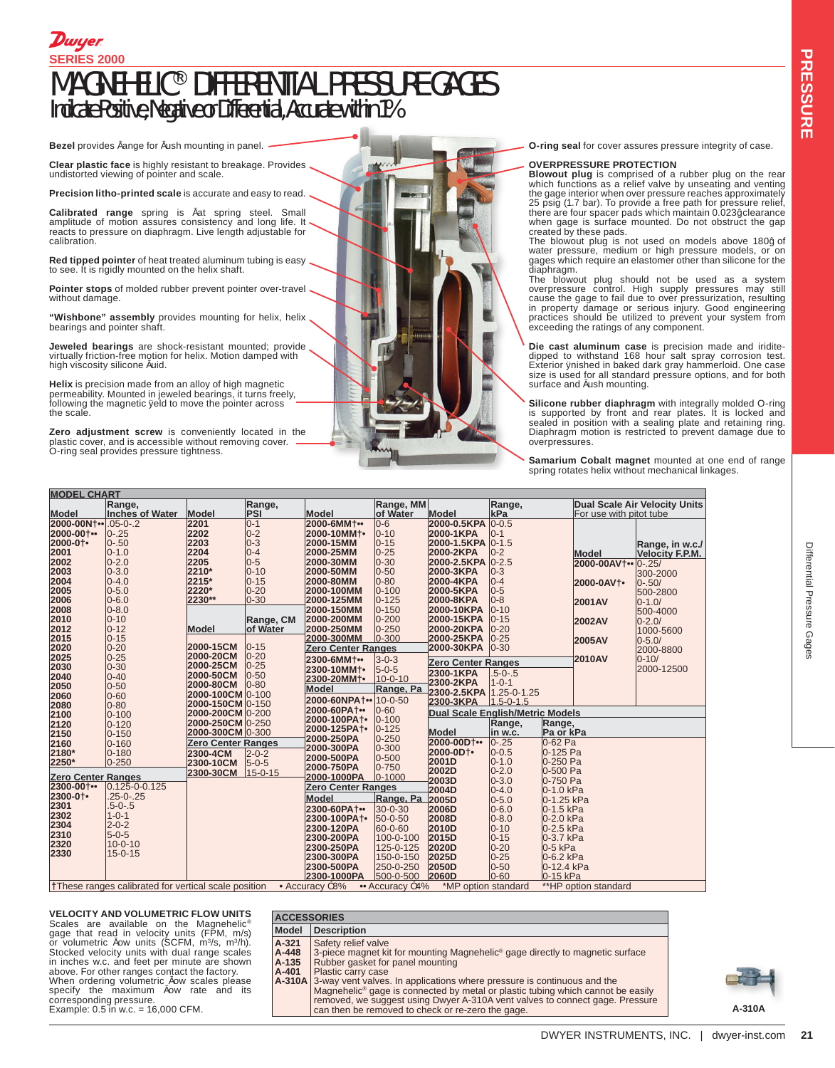# MAGNEHELIC® DIFFERENTIAL PRESSURE GAGES Indicate Positive, Negative or Differential, Accurate within 1% **SERIES 2000** Dwyer.

**Bezel** provides fange for fush mounting in panel.

**Clear plastic face** is highly resistant to breakage. Provides undistorted viewing of pointer and scale.

**Precision litho-printed scale** is accurate and easy to read.

**Calibrated range** spring is flat spring steel. Small amplitude of motion assures consistency and long life. It reacts to pressure on diaphragm. Live length adjustable for calibration.

**Red tipped pointer** of heat treated aluminum tubing is easy to see. It is rigidly mounted on the helix shaft.

**Pointer stops** of molded rubber prevent pointer over-travel without damage.

**"Wishbone" assembly** provides mounting for helix, helix bearings and pointer shaft.

**Jeweled bearings** are shock-resistant mounted; provide virtually friction-free motion for helix. Motion damped with high viscosity silicone fuid.

**Helix** is precision made from an alloy of high magnetic permeability. Mounted in jeweled bearings, it turns freely, following the magnetic feld to move the pointer across the scale.

**Zero adjustment screw** is conveniently located in the<br>plastic cover, and is accessible without removing cover. —<br>O-ring seal provides pressure tightness.

**O-ring seal** for cover assures pressure integrity of case.

#### **OVERPRESSURE PROTECTION**

**Blowout plug** is comprised of a rubber plug on the rear which functions as a relief valve by unseating and venting the gage interior when over pressure reaches approximately 25 psig (1.7 bar). To provide a free path for pressure relief, there are four spacer pads which maintain 0.023˝ clearance

when gage is surface mounted. Do not obstruct the gap<br>created by these pads.<br>The blowout plug is not used on models above 180<sup>7</sup> of<br>water pressure, medium or high pressure models, or on<br>gages which require an elastomer oth

The blowout plug should not be used as a system overpressure control. High supply pressures may still cause the gage to fail due to over pressurization, resulting in property damage or serious injury. Good engineering practices should be utilized to prevent your system from exceeding the ratings of any component.

**Die cast aluminum case** is precision made and iridite-dipped to withstand 168 hour salt spray corrosion test. Exterior finished in baked dark gray hammerloid. One case size is used for all standard pressure options, and for both surface and fush mounting.

**Silicone rubber diaphragm** with integrally molded O-ring<br>is supported by front and rear plates. It is locked and<br>sealed in position with a sealing plate and retaining ring. Diaphragm motion is restricted to prevent damage due to overpressures.

**Samarium Cobalt magnet** mounted at one end of range spring rotates helix without mechanical linkages.

| <b>MODEL CHART</b>        |                                                                                                                                               |                           |               |                           |               |                                  |                 |            |                               |                        |  |  |
|---------------------------|-----------------------------------------------------------------------------------------------------------------------------------------------|---------------------------|---------------|---------------------------|---------------|----------------------------------|-----------------|------------|-------------------------------|------------------------|--|--|
|                           | Range,                                                                                                                                        |                           | Range,        |                           | Range, MM     |                                  | Range,          |            | Dual Scale Air Velocity Units |                        |  |  |
| Model                     | <b>Inches of Water</b>                                                                                                                        | Model                     | PSI           | Model                     | of Water      | Model                            | kPa             |            | For use with pitot tube       |                        |  |  |
| 2000-00Nt ••              | $.05 - 0 - .2$                                                                                                                                | 2201                      | $ 0-1 $       | 2000-6MM+••               | $0-6$         | 2000-0.5KPA                      | $ 0 - 0.5 $     |            |                               |                        |  |  |
| 2000-00+                  | $0 - 25$                                                                                                                                      | 2202                      | $ 0-2 $       | 2000-10MM+                | $0 - 10$      | 2000-1KPA                        | $ 0-1 $         |            |                               |                        |  |  |
| 2000-01                   | $0 - .50$                                                                                                                                     | 2203                      | $ 0-3 $       | 2000-15MM                 | $ 0 - 15$     | 2000-1.5KPA                      | $ 0-1.5$        |            |                               | Range, in w.c./        |  |  |
| 2001                      | $0 - 1.0$                                                                                                                                     | 2204                      | $ 0 - 4 $     | 2000-25MM                 | $0 - 25$      | 2000-2KPA                        | $0-2$           |            | Model                         | <b>Velocity F.P.M.</b> |  |  |
| 2002                      | $0 - 2.0$                                                                                                                                     | 2205                      | $ 0-5 $       | 2000-30MM                 | $ 0 - 30$     | 2000-2.5KPA 0-2.5                |                 |            | 2000-00AV+**                  | $0 - 25/$              |  |  |
| 2003                      | $0 - 3.0$                                                                                                                                     | 2210*                     | $ 0 - 10$     | 2000-50MM                 | $0 - 50$      | 2000-3KPA                        | $0-3$           |            |                               | 300-2000               |  |  |
| 2004                      | $0 - 4.0$                                                                                                                                     | 2215*                     | $ 0 - 15$     | 2000-80MM                 | $0 - 80$      | 2000-4KPA                        | $0 - 4$         |            | 2000-0AV+                     | $0 - 50/$              |  |  |
| 2005                      | $0 - 5.0$                                                                                                                                     | 2220*                     | $ 0-20 $      | 2000-100MM                | $0 - 100$     | 2000-5KPA                        | $0-5$           |            |                               | 500-2800               |  |  |
| 2006                      | $0 - 6.0$                                                                                                                                     | 2230**                    | $ 0 - 30 $    | 2000-125MM                | $0 - 125$     | 2000-8KPA                        | $0-8$           |            | 2001AV                        | $0 - 1.0/$             |  |  |
| 2008                      | $0 - 8.0$                                                                                                                                     |                           |               | 2000-150MM                | $0 - 150$     | 2000-10KPA                       | $0 - 10$        |            |                               | 500-4000               |  |  |
| 2010                      | $0 - 10$                                                                                                                                      |                           | Range, CM     | 2000-200MM                | $0 - 200$     | 2000-15KPA                       | $0 - 15$        |            | <b>2002AV</b>                 | $0 - 2.0/$             |  |  |
| 2012                      | $0 - 12$                                                                                                                                      | Model                     | of Water      | 2000-250MM                | $0 - 250$     | 2000-20KPA                       | $0 - 20$        |            |                               | 1000-5600              |  |  |
| 2015                      | $0 - 15$                                                                                                                                      |                           |               | 2000-300MM                | $ 0 - 300$    | 2000-25KPA                       | $0 - 25$        |            | 2005AV                        | $0 - 5.0/$             |  |  |
| 2020                      | $0 - 20$                                                                                                                                      | 2000-15CM                 | $ 0 - 15$     | <b>Zero Center Ranges</b> |               | 2000-30KPA                       | $ 0 - 30 $      |            |                               | 2000-8800              |  |  |
| 2025                      | $0 - 25$                                                                                                                                      | 2000-20CM                 | $0 - 20$      | 2300-6MM+ ••              | $3 - 0 - 3$   |                                  |                 |            | <b>2010AV</b>                 | $0 - 10/$              |  |  |
| 2030                      | $0 - 30$                                                                                                                                      | 2000-25CM                 | $0 - 25$      | 2300-10MM+                | $5 - 0 - 5$   | <b>Zero Center Ranges</b>        |                 |            |                               | 2000-12500             |  |  |
| 2040                      | $0 - 40$                                                                                                                                      | 2000-50CM                 | $ 0 - 50 $    | 2300-20MM+                | $10 - 0 - 10$ | 2300-1KPA                        | $.5 - 0 - .5$   |            |                               |                        |  |  |
| 2050                      | $0 - 50$                                                                                                                                      | 2000-80CM                 | $ 0 - 80 $    | Model                     | Range, Pa     | 2300-2KPA                        | $1 - 0 - 1$     |            |                               |                        |  |  |
| 2060                      | $0 - 60$                                                                                                                                      | 2000-100CM 0-100          |               | 2000-60NPA+. 10-0-50      |               | 2300-2.5KPA 1.25-0-1.25          |                 |            |                               |                        |  |  |
| 2080                      | $0 - 80$                                                                                                                                      | 2000-150CM 0-150          |               | 2000-60PA+                | $0 - 60$      | 2300-3KPA                        | $1.5 - 0 - 1.5$ |            |                               |                        |  |  |
| 2100                      | $0 - 100$                                                                                                                                     | 2000-200CM 0-200          |               | 2000-100PA+               | $0 - 100$     | Dual Scale English/Metric Models |                 |            |                               |                        |  |  |
| 2120                      | $0 - 120$                                                                                                                                     | 2000-250CM 0-250          |               | 2000-125PA1.              | $ 0 - 125 $   |                                  | Range,          | Range,     |                               |                        |  |  |
| 2150                      | $0 - 150$                                                                                                                                     | 2000-300CM 0-300          |               | 2000-250PA                | $0 - 250$     | Model                            | in w.c.         | Pa or kPa  |                               |                        |  |  |
| 2160                      | $0 - 160$                                                                                                                                     | <b>Zero Center Ranges</b> |               | 2000-300PA                | $0 - 300$     | 2000-00D+••                      | $0 - 25$        | 0-62 Pa    |                               |                        |  |  |
| 2180*                     | $0 - 180$                                                                                                                                     | 2300-4CM                  | $2 - 0 - 2$   | 2000-500PA                | $0 - 500$     | 2000-0D1·                        | $0 - 0.5$       | 0-125 Pa   |                               |                        |  |  |
| 2250*                     | $0 - 250$                                                                                                                                     | 2300-10CM                 | $5 - 0 - 5$   | 2000-750PA                | $0 - 750$     | 2001D                            | $0 - 1.0$       | 0-250 Pa   |                               |                        |  |  |
| <b>Zero Center Ranges</b> |                                                                                                                                               | 2300-30CM                 | $15 - 0 - 15$ | 2000-1000PA               | $ 0 - 1000$   | 2002D                            | $0 - 2.0$       | 0-500 Pa   |                               |                        |  |  |
| 2300-00+                  | $0.125 - 0.125$                                                                                                                               |                           |               |                           |               | 2003D                            | $0 - 3.0$       | 0-750 Pa   |                               |                        |  |  |
| 2300-01                   | $.25 - 0 - .25$                                                                                                                               |                           |               | <b>Zero Center Ranges</b> |               | 2004D                            | $0 - 4.0$       | 0-1.0 kPa  |                               |                        |  |  |
| 2301                      | $.5 - 0 - .5$                                                                                                                                 |                           |               | Model                     | Range, Pa     | 2005D                            | $0 - 5.0$       | 0-1.25 kPa |                               |                        |  |  |
| 2302                      | $1 - 0 - 1$                                                                                                                                   |                           |               | 2300-60PA1 ••             | $30 - 0 - 30$ | 2006D                            | $0 - 6.0$       | 0-1.5 kPa  |                               |                        |  |  |
| 2304                      | $2 - 0 - 2$                                                                                                                                   |                           |               | 2300-100PA+               | $50 - 0 - 50$ | 2008D                            | $0 - 8.0$       | 0-2.0 kPa  |                               |                        |  |  |
| 2310                      | $5 - 0 - 5$                                                                                                                                   |                           |               | 2300-120PA                | 60-0-60       | 2010D                            | $0 - 10$        | 0-2.5 kPa  |                               |                        |  |  |
| 2320                      | $10 - 0 - 10$                                                                                                                                 |                           |               | 2300-200PA                | 100-0-100     | 2015D                            | $0 - 15$        | 0-3.7 kPa  |                               |                        |  |  |
| 2330                      | $15 - 0 - 15$                                                                                                                                 |                           |               | 2300-250PA                | 125-0-125     | 2020D                            | $0 - 20$        | 0-5 kPa    |                               |                        |  |  |
|                           |                                                                                                                                               |                           |               | 2300-300PA                | 150-0-150     | 2025D                            | $0 - 25$        | 0-6.2 kPa  |                               |                        |  |  |
|                           |                                                                                                                                               |                           |               | 2300-500PA                | 250-0-250     | 2050D                            | $0 - 50$        | 0-12.4 kPa |                               |                        |  |  |
|                           |                                                                                                                                               |                           |               | 2300-1000PA               | 500-0-500     | 2060D                            | $0 - 60$        | 0-15 kPa   |                               |                        |  |  |
|                           | **HP option standard<br><b>These ranges calibrated for vertical scale position</b><br>• Accuracy ±3%<br>*MP option standard<br>• Accuracy ±4% |                           |               |                           |               |                                  |                 |            |                               |                        |  |  |

**VELOCITY AND VOLUMETRIC FLOW UNITS** Scales are available on the Magnehelic®<br>gage that read in velocity units (FPM, m/s)<br>or volumetric fow units (SCFM, m<sup>3</sup>/s), m<sup>3</sup>/h),<br>Stocked velocity units with dual range scales<br>in inches w.c. and feet per minute are sho When ordering volumetric fow scales please specify the maximum fow rate and its<br>corresponding pressure.

## **ACCESSORIES**

**Model Description A-321** Safety relief valve

**A-448 A-135** 3-piece magnet kit for mounting Magnehelic® gage directly to magnetic surface

**A-401** Rubber gasket for panel mounting Plastic carry case

Example: 0.5 in w.c. = 16,000 CFM. **A-310A** can then be removed to check or re-zero the gage. **A-310A** 3-way vent valves. In applications where pressure is continuous and the Magnehelic® gage is connected by metal or plastic tubing which cannot be easily removed, we suggest using Dwyer A-310A vent valves to connect gage. Pressure